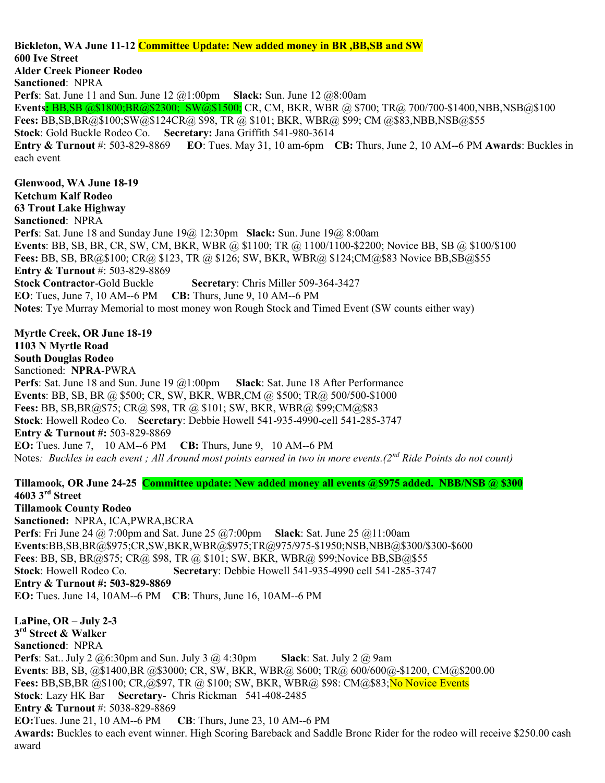Bickleton, WA June 11-12 Committee Update: New added money in BR ,BB,SB and SW 600 Ive Street Alder Creek Pioneer Rodeo Sanctioned: NPRA **Perfs**: Sat. June 11 and Sun. June 12  $\omega$  1:00pm **Slack:** Sun. June 12  $\omega$ 8:00am Events: BB,SB @\$1800;BR@\$2300; SW@\$1500; CR, CM, BKR, WBR @ \$700; TR@ 700/700-\$1400,NBB,NSB@\$100 Fees: BB,SB,BR@\$100;SW@\$124CR@ \$98, TR @ \$101; BKR, WBR@ \$99; CM @\$83,NBB,NSB@\$55 Stock: Gold Buckle Rodeo Co. Secretary: Jana Griffith 541-980-3614 Entry & Turnout #: 503-829-8869 EO: Tues. May 31, 10 am-6pm CB: Thurs, June 2, 10 AM--6 PM Awards: Buckles in each event Glenwood, WA June 18-19 Ketchum Kalf Rodeo 63 Trout Lake Highway Sanctioned: NPRA Perfs: Sat. June 18 and Sunday June 19@ 12:30pm Slack: Sun. June 19@ 8:00am Events: BB, SB, BR, CR, SW, CM, BKR, WBR @ \$1100; TR @ 1100/1100-\$2200; Novice BB, SB @ \$100/\$100 Fees: BB, SB, BR@\$100; CR@ \$123, TR @ \$126; SW, BKR, WBR@ \$124;CM@\$83 Novice BB,SB@\$55 Entry & Turnout #: 503-829-8869 Stock Contractor-Gold Buckle Secretary: Chris Miller 509-364-3427 EO: Tues, June 7, 10 AM--6 PM CB: Thurs, June 9, 10 AM--6 PM Notes: Tye Murray Memorial to most money won Rough Stock and Timed Event (SW counts either way) Myrtle Creek, OR June 18-19 1103 N Myrtle Road South Douglas Rodeo Sanctioned: NPRA-PWRA **Perfs**: Sat. June 18 and Sun. June 19  $@1:00$ pm **Slack**: Sat. June 18 After Performance Events: BB, SB, BR @ \$500; CR, SW, BKR, WBR,CM @ \$500; TR@ 500/500-\$1000 Fees: BB, SB,BR@\$75; CR@ \$98, TR @ \$101; SW, BKR, WBR@ \$99;CM@\$83 Stock: Howell Rodeo Co. Secretary: Debbie Howell 541-935-4990-cell 541-285-3747 Entry & Turnout #: 503-829-8869 EO: Tues. June 7, 10 AM--6 PM CB: Thurs, June 9, 10 AM--6 PM Notes: Buckles in each event ; All Around most points earned in two in more events.(2<sup>nd</sup> Ride Points do not count) Tillamook, OR June 24-25 Committee update: New added money all events @\$975 added. NBB/NSB @ \$300 4603 3rd Street Tillamook County Rodeo Sanctioned: NPRA, ICA,PWRA,BCRA **Perfs**: Fri June 24 @ 7:00pm and Sat. June 25 @ 7:00pm Slack: Sat. June 25 @ 11:00am Events:BB,SB,BR@\$975;CR,SW,BKR,WBR@\$975;TR@975/975-\$1950;NSB,NBB@\$300/\$300-\$600 Fees: BB, SB, BR@\$75; CR@ \$98, TR @ \$101; SW, BKR, WBR@ \$99;Novice BB,SB@\$55 Stock: Howell Rodeo Co. Secretary: Debbie Howell 541-935-4990 cell 541-285-3747 Entry & Turnout #: 503-829-8869 EO: Tues. June 14, 10AM--6 PM CB: Thurs, June 16, 10AM--6 PM LaPine, OR – July 2-3 3 rd Street & Walker Sanctioned: NPRA **Perfs**: Sat.. July 2  $@6:30pm$  and Sun. July 3  $@4:30pm$  Slack: Sat. July 2  $@9am$ Events: BB, SB, @\$1400,BR @\$3000; CR, SW, BKR, WBR@ \$600; TR@ 600/600@-\$1200, CM@\$200.00 Fees: BB,SB,BR @\$100; CR,@\$97, TR @ \$100; SW, BKR, WBR@ \$98: CM@\$83;No Novice Events Stock: Lazy HK Bar Secretary- Chris Rickman 541-408-2485 Entry & Turnout #: 5038-829-8869 EO:Tues. June 21, 10 AM--6 PM CB: Thurs, June 23, 10 AM--6 PM Awards: Buckles to each event winner. High Scoring Bareback and Saddle Bronc Rider for the rodeo will receive \$250.00 cash award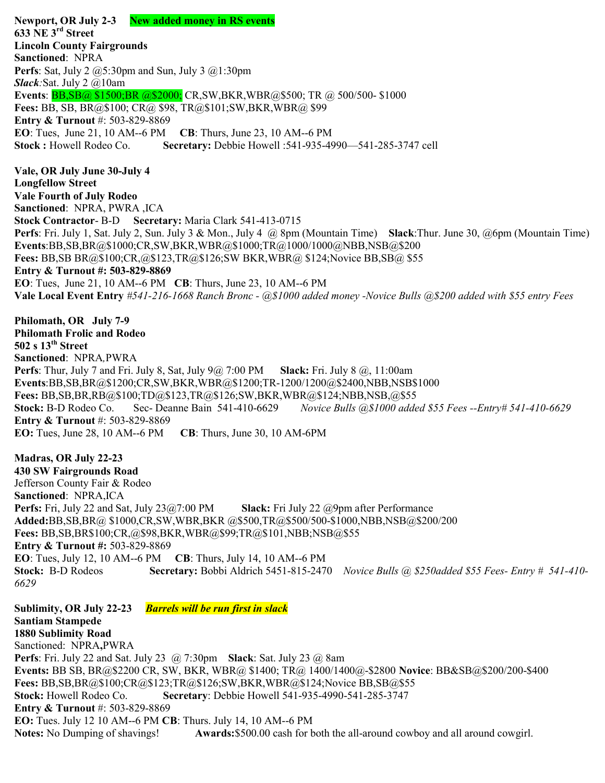Newport, OR July 2-3 New added money in RS events 633 NE 3rd Street Lincoln County Fairgrounds Sanctioned: NPRA **Perfs**: Sat, July 2  $@5:30$ pm and Sun, July 3  $@1:30$ pm  $Slack:$  Sat. July 2  $@$ 10am Events: BB,SB@ \$1500;BR @\$2000; CR,SW,BKR,WBR@\$500; TR @ 500/500- \$1000 Fees: BB, SB, BR@\$100; CR@ \$98, TR@\$101;SW,BKR,WBR@ \$99 Entry & Turnout #: 503-829-8869 EO: Tues, June 21, 10 AM--6 PM CB: Thurs, June 23, 10 AM--6 PM Stock : Howell Rodeo Co. Secretary: Debbie Howell :541-935-4990—541-285-3747 cell Vale, OR July June 30-July 4 Longfellow Street Vale Fourth of July Rodeo Sanctioned: NPRA, PWRA ,ICA Stock Contractor- B-D Secretary: Maria Clark 541-413-0715 Perfs: Fri. July 1, Sat. July 2, Sun. July 3 & Mon., July 4 @ 8pm (Mountain Time) Slack:Thur. June 30, @6pm (Mountain Time) Events:BB,SB,BR@\$1000;CR,SW,BKR,WBR@\$1000;TR@1000/1000@NBB,NSB@\$200 Fees: BB,SB BR@\$100;CR,@\$123,TR@\$126;SW BKR,WBR@ \$124;Novice BB,SB@ \$55 Entry & Turnout #: 503-829-8869 EO: Tues, June 21, 10 AM--6 PM CB: Thurs, June 23, 10 AM--6 PM Vale Local Event Entry #541-216-1668 Ranch Bronc - @\$1000 added money -Novice Bulls @\$200 added with \$55 entry Fees Philomath, OR July 7-9 Philomath Frolic and Rodeo  $502 s 13<sup>th</sup> Street$ Sanctioned: NPRA,PWRA **Perfs:** Thur, July 7 and Fri. July 8, Sat, July  $9@7:00$  PM Slack: Fri. July  $8@.11:00$ am Events:BB,SB,BR@\$1200;CR,SW,BKR,WBR@\$1200;TR-1200/1200@\$2400,NBB,NSB\$1000 Fees: BB,SB,BR,RB@\$100;TD@\$123,TR@\$126;SW,BKR,WBR@\$124;NBB,NSB,@\$55 Stock: B-D Rodeo Co. Sec- Deanne Bain 541-410-6629 Novice Bulls @\$1000 added \$55 Fees --Entry# 541-410-6629 Entry & Turnout #: 503-829-8869 EO: Tues, June 28, 10 AM--6 PM CB: Thurs, June 30, 10 AM-6PM Madras, OR July 22-23 430 SW Fairgrounds Road Jefferson County Fair & Rodeo Sanctioned: NPRA,ICA Perfs: Fri, July 22 and Sat, July 23@7:00 PM Slack: Fri July 22 @9pm after Performance Added:BB,SB,BR@ \$1000,CR,SW,WBR,BKR @\$500,TR@\$500/500-\$1000,NBB,NSB@\$200/200 Fees: BB,SB,BR\$100;CR,@\$98,BKR,WBR@\$99;TR@\$101,NBB;NSB@\$55 Entry & Turnout #: 503-829-8869 EO: Tues, July 12, 10 AM--6 PM CB: Thurs, July 14, 10 AM--6 PM Stock: B-D Rodeos Secretary: Bobbi Aldrich 5451-815-2470 Novice Bulls @ \$250added \$55 Fees- Entry # 541-410-6629 Sublimity, OR July 22-23 Barrels will be run first in slack Santiam Stampede 1880 Sublimity Road Sanctioned: NPRA,PWRA **Perfs:** Fri. July 22 and Sat. July 23  $\omega$  7:30pm Slack: Sat. July 23  $\omega$  8am Events: BB SB, BR@\$2200 CR, SW, BKR, WBR@ \$1400; TR@ 1400/1400@-\$2800 Novice: BB&SB@\$200/200-\$400 Fees: BB,SB,BR@\$100;CR@\$123;TR@\$126;SW,BKR,WBR@\$124;Novice BB,SB@\$55 Stock: Howell Rodeo Co. Secretary: Debbie Howell 541-935-4990-541-285-3747 Entry & Turnout #: 503-829-8869 EO: Tues. July 12 10 AM--6 PM CB: Thurs. July 14, 10 AM--6 PM

Notes: No Dumping of shavings! Awards: \$500.00 cash for both the all-around cowboy and all around cowgirl.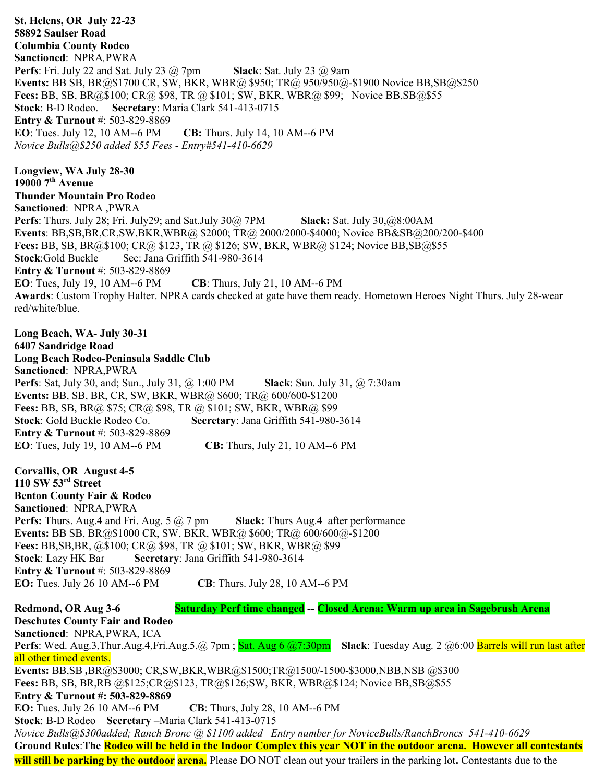St. Helens, OR July 22-23 58892 Saulser Road Columbia County Rodeo Sanctioned: NPRA,PWRA **Perfs:** Fri. July 22 and Sat. July 23  $\omega$  7pm Slack: Sat. July 23  $\omega$  9am Events: BB SB, BR@\$1700 CR, SW, BKR, WBR@ \$950; TR@ 950/950@-\$1900 Novice BB,SB@\$250 Fees: BB, SB, BR@\$100; CR@ \$98, TR @ \$101; SW, BKR, WBR@ \$99; Novice BB,SB@\$55 Stock: B-D Rodeo. Secretary: Maria Clark 541-413-0715 Entry & Turnout #: 503-829-8869 EO: Tues. July 12, 10 AM--6 PM CB: Thurs. July 14, 10 AM--6 PM Novice Bulls@\$250 added \$55 Fees - Entry#541-410-6629 Longview, WA July 28-30  $190007<sup>th</sup>$  Avenue Thunder Mountain Pro Rodeo Sanctioned: NPRA ,PWRA Perfs: Thurs. July 28; Fri. July 29; and Sat.July 30@ 7PM Slack: Sat. July 30,@8:00AM Events: BB,SB,BR,CR,SW,BKR,WBR@ \$2000; TR@ 2000/2000-\$4000; Novice BB&SB@200/200-\$400 Fees: BB, SB, BR@\$100; CR@ \$123, TR @ \$126; SW, BKR, WBR@ \$124; Novice BB,SB@\$55 Stock:Gold Buckle Sec: Jana Griffith 541-980-3614 Entry & Turnout #: 503-829-8869 EO: Tues, July 19, 10 AM--6 PM CB: Thurs, July 21, 10 AM--6 PM Awards: Custom Trophy Halter. NPRA cards checked at gate have them ready. Hometown Heroes Night Thurs. July 28-wear red/white/blue. Long Beach, WA- July 30-31 6407 Sandridge Road Long Beach Rodeo-Peninsula Saddle Club Sanctioned: NPRA,PWRA **Perfs**: Sat, July 30, and; Sun., July 31, @ 1:00 PM **Slack**: Sun. July 31, @ 7:30am Events: BB, SB, BR, CR, SW, BKR, WBR@ \$600; TR@ 600/600-\$1200 Fees: BB, SB, BR@ \$75; CR@ \$98, TR @ \$101; SW, BKR, WBR@ \$99 Stock: Gold Buckle Rodeo Co. Secretary: Jana Griffith 541-980-3614 Entry & Turnout #: 503-829-8869 EO: Tues, July 19, 10 AM--6 PM CB: Thurs, July 21, 10 AM--6 PM Corvallis, OR August 4-5 110 SW  $53<sup>rd</sup>$  Street Benton County Fair & Rodeo Sanctioned: NPRA,PWRA **Perfs:** Thurs. Aug.4 and Fri. Aug. 5  $\omega$  7 pm Slack: Thurs Aug.4 after performance Events: BB SB, BR@\$1000 CR, SW, BKR, WBR@ \$600; TR@ 600/600@-\$1200 Fees: BB, SB, BR, @\$100; CR@ \$98, TR @ \$101; SW, BKR, WBR@ \$99 Stock: Lazy HK Bar Secretary: Jana Griffith 541-980-3614 Entry & Turnout #: 503-829-8869 EO: Tues. July 26 10 AM--6 PM CB: Thurs. July 28, 10 AM--6 PM Redmond, OR Aug 3-6 Saturday Perf time changed -- Closed Arena: Warm up area in Sagebrush Arena Deschutes County Fair and Rodeo Sanctioned: NPRA,PWRA, ICA Perfs: Wed. Aug.3,Thur.Aug.4,Fri.Aug.5,@ 7pm ; Sat. Aug 6 @7:30pm Slack: Tuesday Aug. 2 @6:00 Barrels will run last after all other timed events. Events: BB,SB ,BR@\$3000; CR,SW,BKR,WBR@\$1500;TR@1500/-1500-\$3000,NBB,NSB @\$300 Fees: BB, SB, BR,RB @\$125;CR@\$123, TR@\$126;SW, BKR, WBR@\$124; Novice BB,SB@\$55 Entry & Turnout #: 503-829-8869 EO: Tues, July 26 10 AM--6 PM CB: Thurs, July 28, 10 AM--6 PM Stock: B-D Rodeo Secretary –Maria Clark 541-413-0715 Novice Bulls@\$300added; Ranch Bronc @ \$1100 added Entry number for NoviceBulls/RanchBroncs 541-410-6629 Ground Rules:The Rodeo will be held in the Indoor Complex this year NOT in the outdoor arena. However all contestants will still be parking by the outdoor arena. Please DO NOT clean out your trailers in the parking lot. Contestants due to the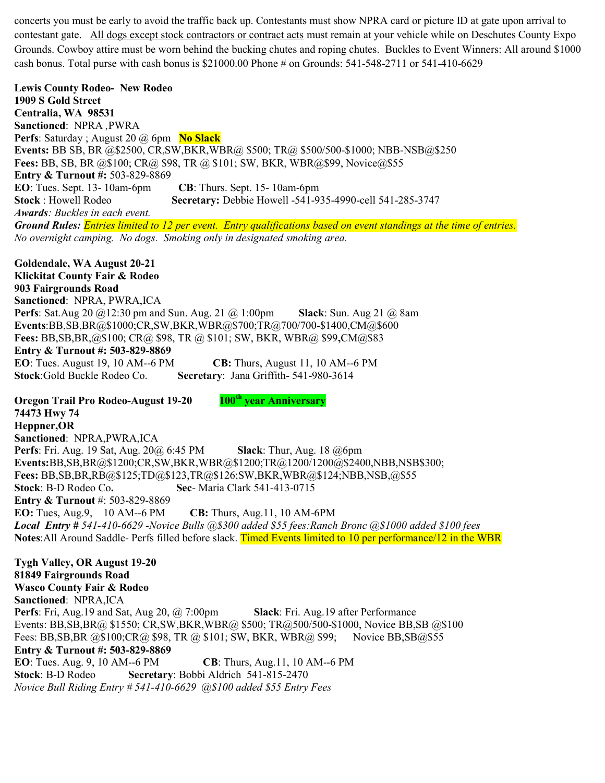concerts you must be early to avoid the traffic back up. Contestants must show NPRA card or picture ID at gate upon arrival to contestant gate. All dogs except stock contractors or contract acts must remain at your vehicle while on Deschutes County Expo Grounds. Cowboy attire must be worn behind the bucking chutes and roping chutes. Buckles to Event Winners: All around \$1000 cash bonus. Total purse with cash bonus is \$21000.00 Phone # on Grounds: 541-548-2711 or 541-410-6629

Lewis County Rodeo- New Rodeo 1909 S Gold Street Centralia, WA 98531 Sanctioned: NPRA ,PWRA **Perfs:** Saturday ; August 20  $\omega$  6pm **No Slack** Events: BB SB, BR @\$2500, CR,SW,BKR,WBR@ \$500; TR@ \$500/500-\$1000; NBB-NSB@\$250 Fees: BB, SB, BR @\$100; CR@ \$98, TR @ \$101; SW, BKR, WBR@\$99, Novice@\$55 Entry & Turnout #: 503-829-8869 EO: Tues. Sept. 13- 10am-6pm CB: Thurs. Sept. 15- 10am-6pm Stock : Howell Rodeo Secretary: Debbie Howell -541-935-4990-cell 541-285-3747 Awards: Buckles in each event. Ground Rules: *Entries limited to 12 per event. Entry qualifications based on event standings at the time of entries.* No overnight camping. No dogs. Smoking only in designated smoking area.

Goldendale, WA August 20-21 Klickitat County Fair & Rodeo 903 Fairgrounds Road Sanctioned: NPRA, PWRA,ICA **Perfs:** Sat.Aug 20  $@12:30$  pm and Sun. Aug. 21  $@1:00$ pm **Slack:** Sun. Aug 21  $@8$ am Events:BB,SB,BR@\$1000;CR,SW,BKR,WBR@\$700;TR@700/700-\$1400,CM@\$600 Fees: BB,SB,BR,@\$100; CR@ \$98, TR @ \$101; SW, BKR, WBR@ \$99,CM@\$83 Entry & Turnout #: 503-829-8869 EO: Tues. August 19, 10 AM--6 PM CB: Thurs, August 11, 10 AM--6 PM Stock:Gold Buckle Rodeo Co. Secretary: Jana Griffith- 541-980-3614

Oregon Trail Pro Rodeo-August 19-20 100<sup>th</sup> year Anniversary 74473 Hwy 74 Heppner,OR Sanctioned: NPRA,PWRA,ICA Perfs: Fri. Aug. 19 Sat, Aug. 20@ 6:45 PM Slack: Thur, Aug. 18 @6pm Events:BB,SB,BR@\$1200;CR,SW,BKR,WBR@\$1200;TR@1200/1200@\$2400,NBB,NSB\$300; Fees: BB,SB,BR,RB@\$125;TD@\$123,TR@\$126;SW,BKR,WBR@\$124;NBB,NSB,@\$55 Stock: B-D Rodeo Co. Sec- Maria Clark 541-413-0715 Entry & Turnout #: 503-829-8869 EO: Tues, Aug.9, 10 AM--6 PM CB: Thurs, Aug.11, 10 AM-6PM **Local Entry** # 541-410-6629 -Novice Bulls  $@300$  added \$55 fees: Ranch Bronc  $@31000$  added \$100 fees Notes: All Around Saddle- Perfs filled before slack. Timed Events limited to 10 per performance/12 in the WBR

Tygh Valley, OR August 19-20 81849 Fairgrounds Road Wasco County Fair & Rodeo Sanctioned: NPRA,ICA Perfs: Fri, Aug.19 and Sat, Aug 20, @ 7:00pm Slack: Fri. Aug.19 after Performance Events: BB,SB,BR@ \$1550; CR,SW,BKR,WBR@ \$500; TR@500/500-\$1000, Novice BB,SB @\$100 Fees: BB, SB, BR @\$100; CR @ \$98, TR @ \$101; SW, BKR, WBR @ \$99; Novice BB, SB @ \$55 Entry & Turnout #: 503-829-8869 EO: Tues. Aug. 9, 10 AM--6 PM CB: Thurs, Aug.11, 10 AM--6 PM Stock: B-D Rodeo Secretary: Bobbi Aldrich 541-815-2470 Novice Bull Riding Entry # 541-410-6629 @\$100 added \$55 Entry Fees